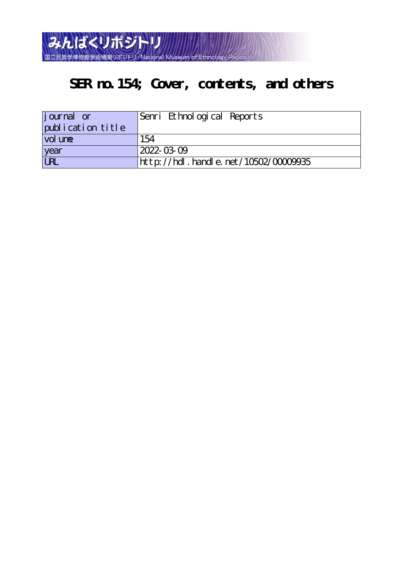

# **SER no.154; Cover, contents, and others**

| journal or             | Senri Ethnological Reports          |
|------------------------|-------------------------------------|
| publication title      |                                     |
| vol une                | 154                                 |
| year                   | $2022 - 0309$                       |
| $\overline{\text{UL}}$ | http://hdl.handle.net/10502/0000935 |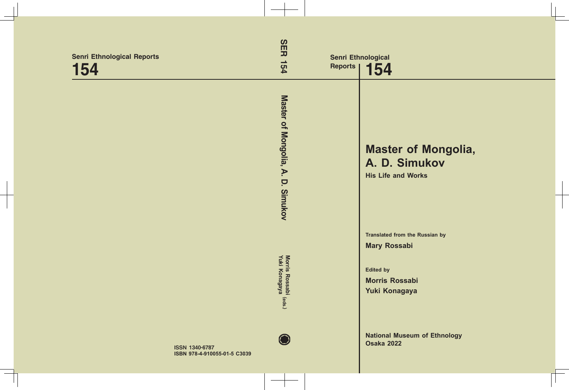| <b>Senri Ethnological Reports</b><br>154 | <b>SER</b><br>154<br><b>Reports</b>       | <b>Senri Ethnological</b><br>154                                                                                           |
|------------------------------------------|-------------------------------------------|----------------------------------------------------------------------------------------------------------------------------|
|                                          | Master of Mongolia,<br>A.<br>p<br>Simukov | <b>Master of Mongolia,</b><br>A. D. Simukov<br><b>His Life and Works</b>                                                   |
|                                          | Morris Rossabi<br>Yuki Konagaya<br>(eds.) | <b>Translated from the Russian by</b><br><b>Mary Rossabi</b><br><b>Edited by</b><br><b>Morris Rossabi</b><br>Yuki Konagaya |
| <b>ISSN 1340-6787</b>                    |                                           | <b>National Museum of Ethnology</b><br><b>Osaka 2022</b>                                                                   |

**ISBN 978-4-910055-01-5 C3039**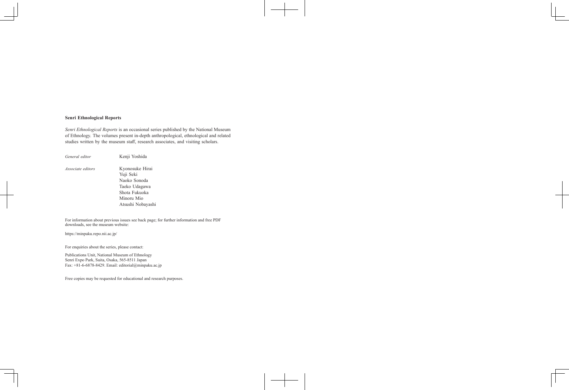#### **Senri Ethnological Reports**

*Senri Ethnological Reports* is an occasional series published by the National Museum of Ethnology. The volumes present in-depth anthropological, ethnological and related studies written by the museum staff, research associates, and visiting scholars.

| General editor           | Kenji Yoshida                                                                                |  |
|--------------------------|----------------------------------------------------------------------------------------------|--|
| <i>Associate editors</i> | Kyonosuke Hirai<br>Yuji Seki<br>Naoko Sonoda<br>Taeko Udagawa<br>Shota Fukuoka<br>Minoru Mio |  |
|                          | Atsushi Nobayashi                                                                            |  |

For information about previous issues see back page; for further information and free PDF downloads, see the museum website:

https://minpaku.repo.nii.ac.jp/

For enquiries about the series, please contact:

Publications Unit, National Museum of Ethnology Senri Expo Park, Suita, Osaka, 565-8511 Japan Fax: +81-6-6878-8429. Email: editorial@minpaku.ac.jp

Free copies may be requested for educational and research purposes.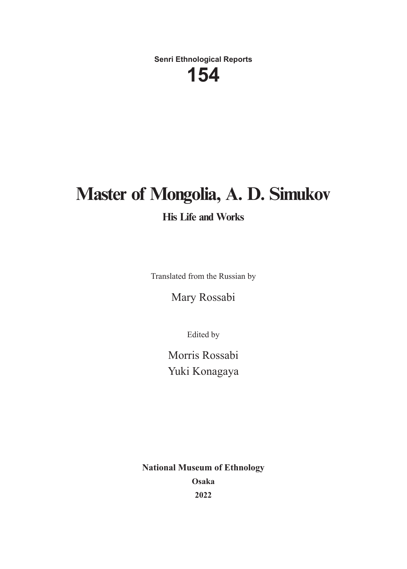**Senri Ethnological Reports**

# **154**

# **Master of Mongolia, A. D. Simukov**

### **His Life and Works**

Translated from the Russian by

Mary Rossabi

Edited by

Morris Rossabi Yuki Konagaya

**National Museum of Ethnology Osaka 2022**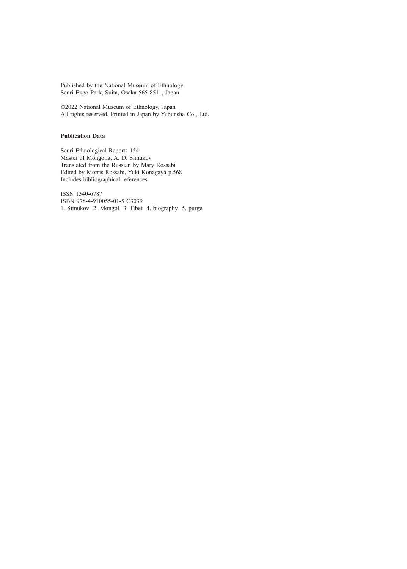Published by the National Museum of Ethnology Senri Expo Park, Suita, Osaka 565-8511, Japan

©2022 National Museum of Ethnology, Japan All rights reserved. Printed in Japan by Yubunsha Co., Ltd.

#### **Publication Data**

Senri Ethnological Reports 154 Master of Mongolia, A. D. Simukov Translated from the Russian by Mary Rossabi Edited by Morris Rossabi, Yuki Konagaya p.568 Includes bibliographical references.

ISSN 1340-6787 ISBN 978-4-910055-01-5 C3039 1. Simukov 2. Mongol 3. Tibet 4. biography 5. purge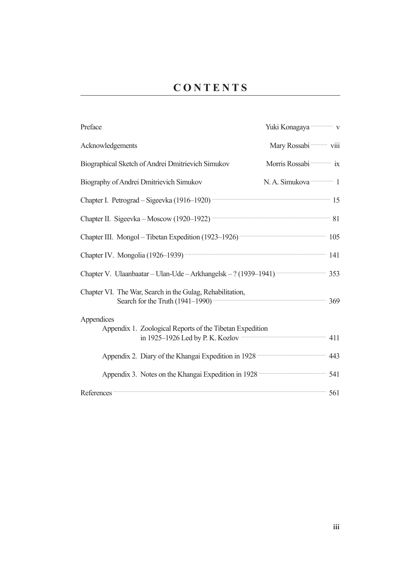| Preface                                                                                                                     | Yuki Konagaya <b>waka wa</b> v         |
|-----------------------------------------------------------------------------------------------------------------------------|----------------------------------------|
| Acknowledgements                                                                                                            | Mary Rossabi <b>Will</b>               |
| Biographical Sketch of Andrei Dmitrievich Simukov                                                                           | Morris Rossabi <b>in Service State</b> |
| Biography of Andrei Dmitrievich Simukov                                                                                     | N.A. Simukova <b>manusi</b> 1          |
| Chapter I. Petrograd - Sigeevka (1916-1920) <b>The Chapter I. Petrograd</b> - Sigeevka (1916-1920)                          |                                        |
| Chapter II. Sigeevka - Moscow (1920-1922) <b>Washington</b> 81                                                              |                                        |
|                                                                                                                             |                                        |
| Chapter IV. Mongolia (1926-1939) <b>William Strategie and Taylor</b> 141                                                    |                                        |
| Chapter V. Ulaanbaatar - Ulan-Ude - Arkhangelsk - ? (1939-1941) <b>Wester Arkhangelsk</b> - ?                               |                                        |
| Chapter VI. The War, Search in the Gulag, Rehabilitation,<br>Search for the Truth (1941–1990) <b>CONVERGENT:</b> 369        |                                        |
| Appendices                                                                                                                  |                                        |
| Appendix 1. Zoological Reports of the Tibetan Expedition<br>in 1925-1926 Led by P. K. Kozlov <b>William Strategier 2011</b> |                                        |
| Appendix 2. Diary of the Khangai Expedition in 1928 <b>The Contract of the Khangai Expedition</b> in 1928                   |                                        |
| Appendix 3. Notes on the Khangai Expedition in 1928 <b>Constant Contains 1928</b>                                           |                                        |
| References 561                                                                                                              |                                        |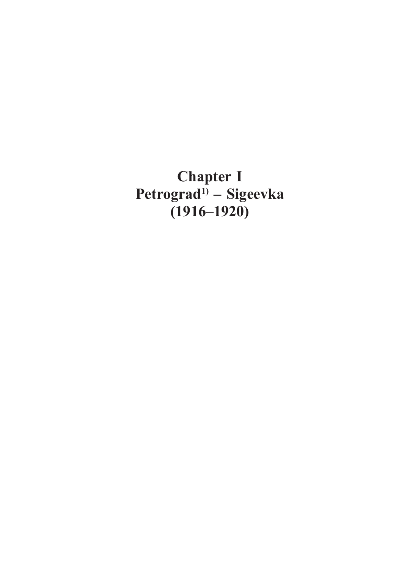**Chapter I Petrograd1) – Sigeevka (1916–1920)**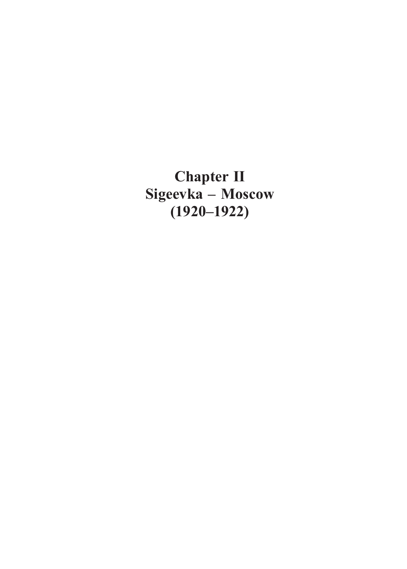**Chapter Ⅱ Sigeevka – Moscow (1920–1922)**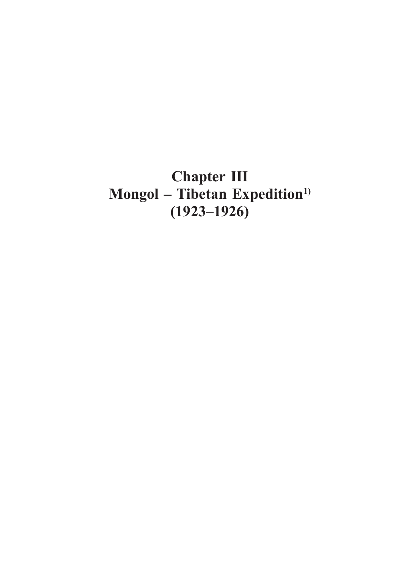## **Chapter Ⅲ Mongol – Tibetan Expedition1) (1923–1926)**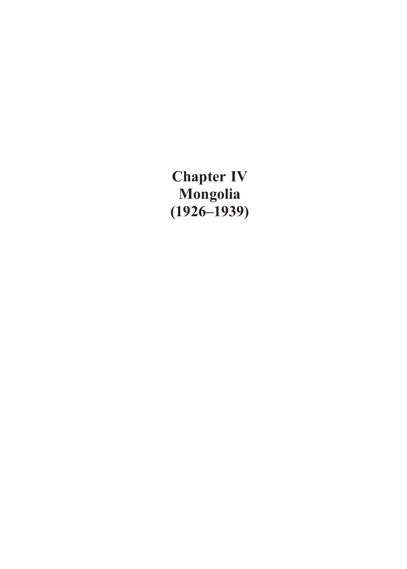**Chapter Ⅳ Mongolia (1926–1939)**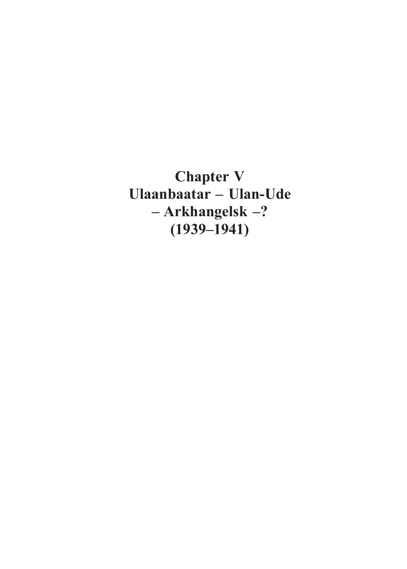**Chapter Ⅴ Ulaanbaatar – Ulan-Ude – Arkhangelsk –? (1939–1941)**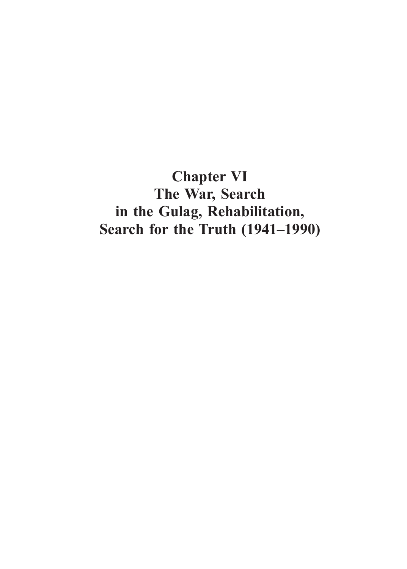**Chapter Ⅵ The War, Search in the Gulag, Rehabilitation, Search for the Truth (1941–1990)**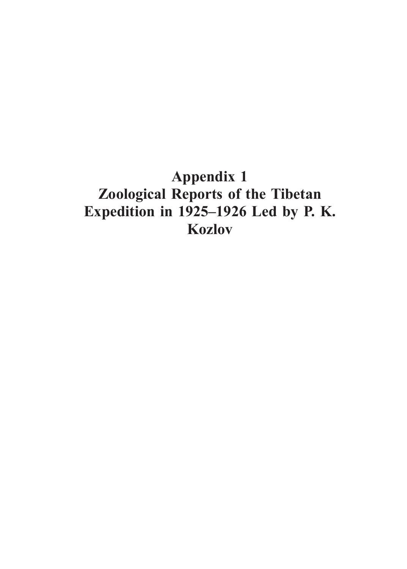### **Appendix 1 Zoological Reports of the Tibetan Expedition in 1925–1926 Led by P. K. Kozlov**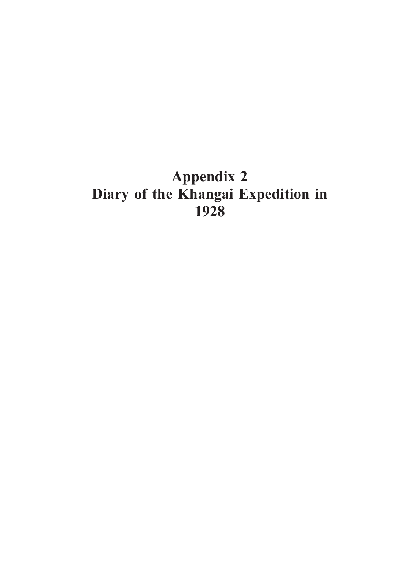## **Appendix 2 Diary of the Khangai Expedition in 1928**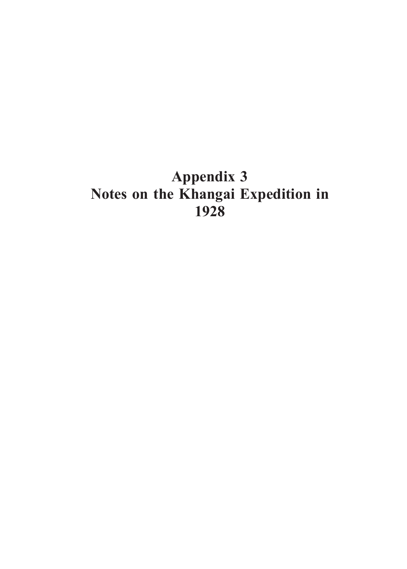## **Appendix 3 Notes on the Khangai Expedition in 1928**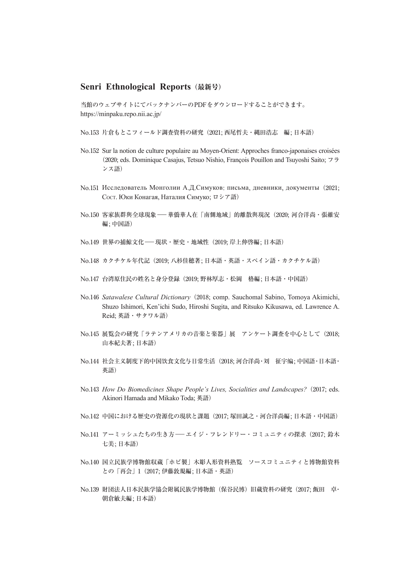#### **Senri Ethnological Reports**(最新号)

当館のウェブサイトにてバックナンバーのPDFをダウンロードすることができます。 https://minpaku.repo.nii.ac.jp/

No.153 片倉もとこフィールド調査資料の研究(2021; 西尾哲夫・縄田浩志 編; 日本語)

- No.152 Sur la notion de culture populaire au Moyen-Orient: Approches franco-japonaises croisées (2020; eds. Dominique Casajus, Tetsuo Nishio, François Pouillon and Tsuyoshi Saito; フラ ンス語)
- No.151 Исследователь Монголии А.Д.Симуков: письма, дневники, документы(2021; COCT. Юки Конагая, Наталия Симуко; ロシア語)
- No.<sup>150</sup> 客家族群與全球現象―華僑華人在「南側地域」的離散與現況(2020; 河合洋尚・張維安 編; 中国語)
- No.149 世界の捕鯨文化––現状・歴史・地域性 (2019; 岸上伸啓編; 日本語)
- No.148 カクチケル年代記(2019; 八杉佳穂著; 日本語・英語・スペイン語・カクチケル語)
- No.147 台湾原住民の姓名と身分登録(2019; 野林厚志・松岡 格編; 日本語・中国語)
- No.146 *Satawalese Cultural Dictionary*(2018; comp. Sauchomal Sabino, Tomoya Akimichi, Shuzo Ishimori, Ken'ichi Sudo, Hiroshi Sugita, and Ritsuko Kikusawa, ed. Lawrence A. Reid; 英語・サタワル語)
- No.145 展覧会の研究「ラテンアメリカの音楽と楽器」展 アンケート調査を中心として(2018; 山本紀夫著; 日本語)
- No.144 社会主义制度下的中国饮食文化与日常生活(2018; 河合洋尚・刘 征宇编; 中国語・日本語・ 英語)
- No.143 *How Do Biomedicines Shape People's Lives, Socialities and Landscapes?*(2017; eds. Akinori Hamada and Mikako Toda; 英語)
- No.142 中国における歴史の資源化の現状と課題(2017; 塚田誠之・河合洋尚編; 日本語・中国語)
- No.141 アーミッシュたちの生き方––エイジ・フレンドリー・コミュニティの探求 (2017; 鈴木 七美; 日本語)
- No.140 国立民族学博物館収蔵「ホピ製」木彫人形資料熟覧 ソースコミュニティと博物館資料 との「再会」1(2017; 伊藤敦規編; 日本語・英語)
- No.139 財団法人日本民族学協会附属民族学博物館(保谷民博)旧蔵資料の研究(2017; 飯田 卓・ 朝倉敏夫編; 日本語)